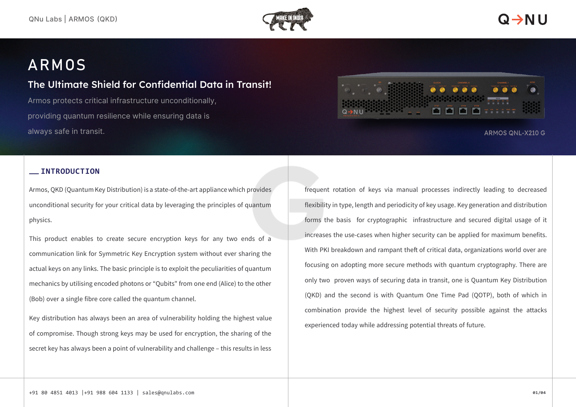

## ARMOS

### The Ultimate Shield for Confidential Data in Transit!

Armos protects critical infrastructure unconditionally, providing quantum resilience while ensuring data is always safe in transit.



#### ARMOS QNL-X210 G

#### **INTRODUCTION**

Armos, QKD (Quantum Key Distribution) is a state-of-the-art appliancewhich provides unconditional security for your critical data by leveraging the principles of quantum physics.

This product enables to create secure encryption keys for any two ends of a communication link for Symmetric Key Encryption system without ever sharing the actual keys on any links. The basic principle is to exploit the peculiarities of quantum mechanics by utilising encoded photons or "Qubits" from one end (Alice) to the other (Bob) over a single fibre core called the quantum channel.

Key distribution has always been an area of vulnerability holding the highest value of compromise. Though strong keys may be used for encryption, the sharing of the secret key has always been a point of vulnerability and challenge – this results in less

frequent rotation of keys via manual processes indirectly leading to decreased flexibility in type, length and periodicity of key usage. Key generation and distribution forms the basis for cryptographic infrastructure and secured digital usage of it increases the use-cases when higher security can be applied for maximum benefits. With PKI breakdown and rampant theft of critical data, organizations world over are focusing on adopting more secure methods with quantum cryptography. There are only two proven ways of securing data in transit, one is Quantum Key Distribution (QKD) and the second is with Quantum One Time Pad (QOTP), both of which in combination provide the highest level of security possible against the attacks experienced today while addressing potential threats of future.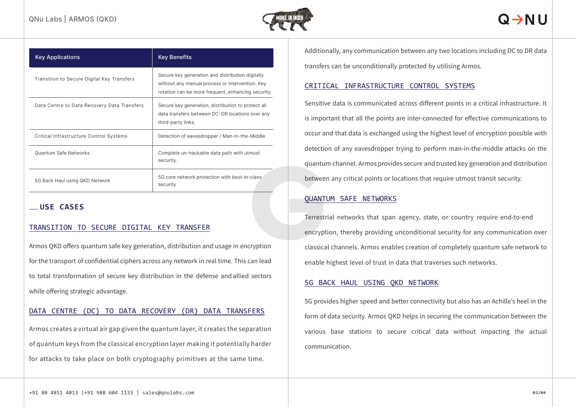

| <b>Key Applications</b>                     | <b>Key Benefits</b>                                                                                                                                       |
|---------------------------------------------|-----------------------------------------------------------------------------------------------------------------------------------------------------------|
| Transition to Secure Digital Key Transfers  | Secure key generation and distribution digitally<br>without any manual process or intervention. Key<br>rotation can be more frequent, enhancing security. |
| Data Centre to Data Recovery Data Transfers | Secure key generation, distribution to protect all<br>data transfers between DC-DR locations over any<br>third-party links.                               |
| Critical Infrastructure Control Systems     | Detection of eavesdropper / Man-in-the-Middle                                                                                                             |
| Quantum Safe Networks                       | Complete un-hackable data path with utmost<br>security.                                                                                                   |
| 5G Back Haul using QKD Network              | 5G core network protection with best-in-class<br>security                                                                                                 |

#### **USE CASES**

#### TRANSITION TO SECURE DIGITAL KEY TRANSFER

Armos QKD offers quantum safe key generation, distribution and usage in encryption for the transport of confidential ciphers across any network in real time. This can lead to total transformation of secure key distribution in the defense and allied sectors while offering strategic advantage.

#### DATA CENTRE (DC) TO DATA RECOVERY (DR) DATA TRANSFERS

Armos creates a virtual air gap given the quantum layer, it creates the separation of quantum keys from the classical encryption layer making it potentially harder for attacks to take place on both cryptography primitives at the same time.

Additionally, any communication between any two locations including DC to DR data transfers can be unconditionally protected by utilising Armos.

#### CRITICAL INFRASTRUCTURE CONTROL SYSTEMS

Sensitive data is communicated across different points in a critical infrastructure. It is important that all the points are inter-connected for effective communications to occur and that data is exchanged using the highest level of encryption possible with detection of any eavesdropper trying to perform man-in-the-middle attacks on the quantum channel. Armos provides secure and trusted key generation and distribution between any critical points or locations that require utmost transit security.

#### QUANTUM SAFE NETWORKS

Terrestrial networks that span agency, state, or country require end-to-end encryption, thereby providing unconditional security for any communication over classical channels. Armos enables creation of completely quantum safe network to enable highest level of trust in data that traverses such networks.

#### 5G BACK HAUL USING QKD NETWORK

5G provides higher speed and better connectivity but also has an Achille's heel in the form of data security. Armos QKD helps in securing the communication between the various base stations to secure critical data without impacting the actual communication.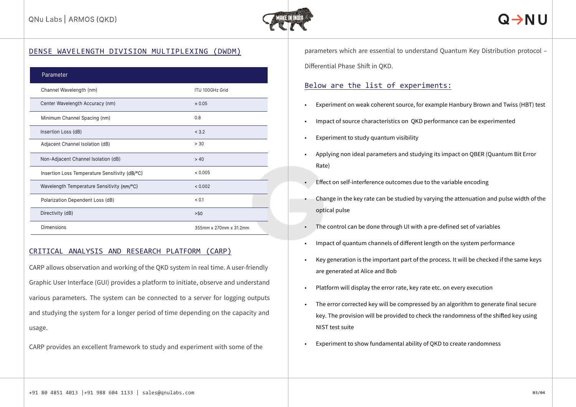

| Parameter                                      |                        |
|------------------------------------------------|------------------------|
| Channel Wavelength (nm)                        | <b>ITU 100GHz Grid</b> |
| Center Wavelength Accuracy (nm)                | ± 0.05                 |
| Minimum Channel Spacing (nm)                   | 0.8                    |
| Insertion Loss (dB)                            | < 3.2                  |
| Adjacent Channel Isolation (dB)                | > 30                   |
| Non-Adjacent Channel Isolation (dB)            | > 40                   |
| Insertion Loss Temperature Sensitivity (dB/°C) | < 0.005                |
| Wavelength Temperature Sensitivity (nm/°C)     | < 0.002                |
| Polarization Dependent Loss (dB)               | < 0.1                  |
| Directivity (dB)                               | >50                    |
| Dimensions                                     | 355mm x 270mm x 31.2mm |

#### CRITICAL ANALYSIS AND RESEARCH PLATFORM (CARP)

CARP allows observation and working of the QKD system in real time. A user-friendly Graphic User Interface (GUI) provides a platform to initiate, observe and understand various parameters. The system can be connected to a server for logging outputs and studying the system for a longer period of time depending on the capacity and usage.

CARP provides an excellent framework to study and experiment with some of the

DENSE WAVELENGTH DIVISION MULTIPLEXING (DWDM) parameters which are essential to understand Quantum Key Distribution protocol -Differential Phase Shift in QKD.

#### Below are the list of experiments:

- Experiment on weak coherent source, for example Hanbury Brown and Twiss (HBT) test
- Impact of source characteristics on QKD performance can be experimented
- Experiment to study quantum visibility
- Applying non ideal parameters and studying its impact on QBER (Quantum Bit Error Rate)
- Effect on self-interference outcomes due to the variable encoding
- Change in the key rate can be studied by varying the attenuation and pulse width of the optical pulse
- The control can be done through UI with a pre-defined set of variables
- Impact of quantum channels of different length on the system performance
- Key generation is the important part of the process. It will be checked if the same keys are generated at Alice and Bob
- Platform will display the error rate, key rate etc. on every execution
- The error corrected key will be compressed by an algorithm to generate final secure key. The provision will be provided to check the randomness of the shifted key using NIST test suite
- Experiment to show fundamental ability of QKD to create randomness